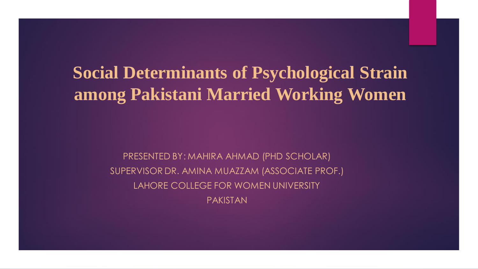## **Social Determinants of Psychological Strain among Pakistani Married Working Women**

,他们的人都是不是一个人,他们的人都是不是一个人,他们的人都是不是一个人,他们的人都是不是一个人,他们的人都是不是一个人,他们的人都是不是一个人,他们的人都是不

**Fininants of Psychologi<br>
Stani Married Workin<br>
ED BY: MAHIRA AHMAD (PHD SCHOLAR)<br>R DR. AMINA MUAZZAM (ASSOCIATE PRO<br>RE COLLEGE FOR WOMEN UNIVERSITY<br>
PAKISTAN ICANA<br>ICANA ANAAD**<br>ICP 2020<br>ICP 2020<br>ICP 2020 WOME<br>ICP 2020 WOME PRESENTED BY: MAHIRA AHMAD (PHD SCHOLAR) SUPERVISOR DR. AMINA MUAZZAM (ASSOCIATE PROF.) LAHORE COLLEGE FOR WOMEN UNIVERSITY PAKISTAN